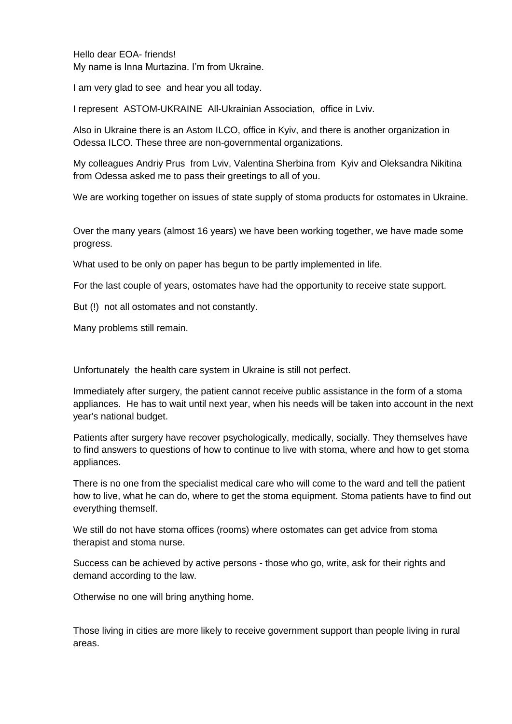Hello dear EOA- friends! My name is Inna Murtazina. I'm from Ukraine.

I am very glad to see and hear you all today.

I represent ASTOM-UKRAINE All-Ukrainian Association, office in Lviv.

Also in Ukraine there is an Astom ILCO, office in Kyiv, and there is another organization in Odessa ILCO. These three are non-governmental organizations.

My colleagues Andriy Prus from Lviv, Valentina Sherbina from Kyiv and Oleksandra Nikitina from Odessa asked me to pass their greetings to all of you.

We are working together on issues of state supply of stoma products for ostomates in Ukraine.

Over the many years (almost 16 years) we have been working together, we have made some progress.

What used to be only on paper has begun to be partly implemented in life.

For the last couple of years, ostomates have had the opportunity to receive state support.

But (!) not all ostomates and not constantly.

Many problems still remain.

Unfortunately the health care system in Ukraine is still not perfect.

Immediately after surgery, the patient cannot receive public assistance in the form of a stoma appliances. He has to wait until next year, when his needs will be taken into account in the next year's national budget.

Patients after surgery have recover psychologically, medically, socially. They themselves have to find answers to questions of how to continue to live with stoma, where and how to get stoma appliances.

There is no one from the specialist medical care who will come to the ward and tell the patient how to live, what he can do, where to get the stoma equipment. Stoma patients have to find out everything themself.

We still do not have stoma offices (rooms) where ostomates can get advice from stoma therapist and stoma nurse.

Success can be achieved by active persons - those who go, write, ask for their rights and demand according to the law.

Otherwise no one will bring anything home.

Those living in cities are more likely to receive government support than people living in rural areas.